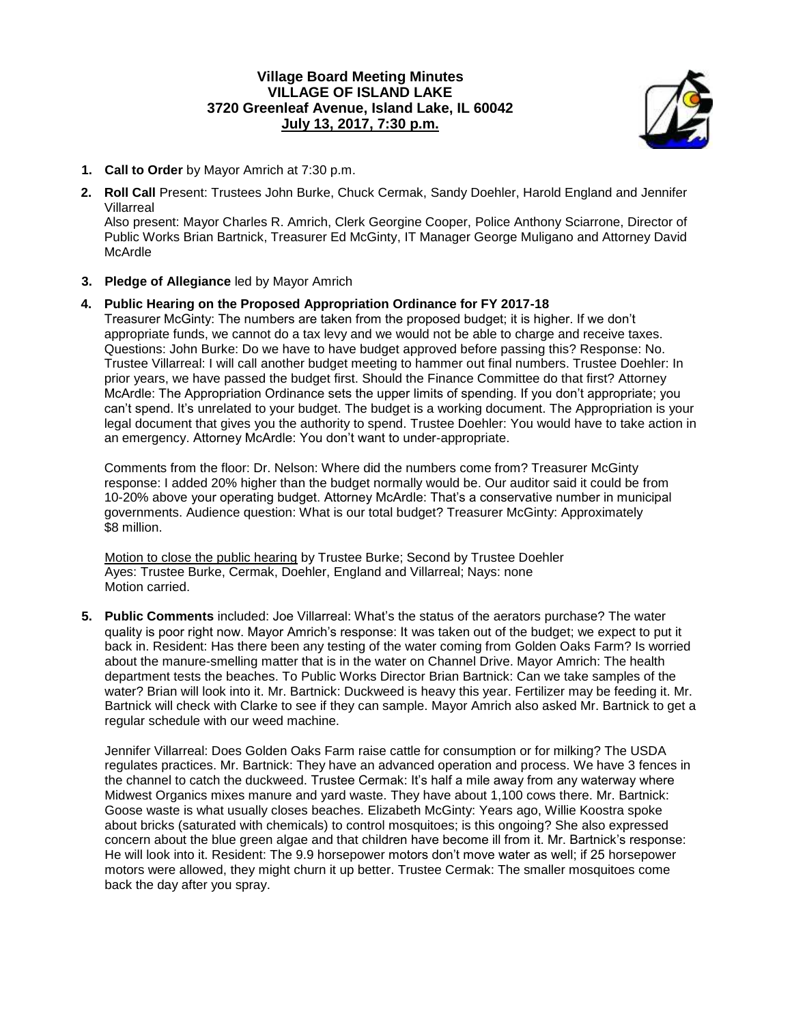# **Village Board Meeting Minutes VILLAGE OF ISLAND LAKE 3720 Greenleaf Avenue, Island Lake, IL 60042 July 13, 2017, 7:30 p.m.**



- **1. Call to Order** by Mayor Amrich at 7:30 p.m.
- **2. Roll Call** Present: Trustees John Burke, Chuck Cermak, Sandy Doehler, Harold England and Jennifer Villarreal

Also present: Mayor Charles R. Amrich, Clerk Georgine Cooper, Police Anthony Sciarrone, Director of Public Works Brian Bartnick, Treasurer Ed McGinty, IT Manager George Muligano and Attorney David McArdle

## **3. Pledge of Allegiance** led by Mayor Amrich

# **4. Public Hearing on the Proposed Appropriation Ordinance for FY 2017-18**

Treasurer McGinty: The numbers are taken from the proposed budget; it is higher. If we don't appropriate funds, we cannot do a tax levy and we would not be able to charge and receive taxes. Questions: John Burke: Do we have to have budget approved before passing this? Response: No. Trustee Villarreal: I will call another budget meeting to hammer out final numbers. Trustee Doehler: In prior years, we have passed the budget first. Should the Finance Committee do that first? Attorney McArdle: The Appropriation Ordinance sets the upper limits of spending. If you don't appropriate; you can't spend. It's unrelated to your budget. The budget is a working document. The Appropriation is your legal document that gives you the authority to spend. Trustee Doehler: You would have to take action in an emergency. Attorney McArdle: You don't want to under-appropriate.

Comments from the floor: Dr. Nelson: Where did the numbers come from? Treasurer McGinty response: I added 20% higher than the budget normally would be. Our auditor said it could be from 10-20% above your operating budget. Attorney McArdle: That's a conservative number in municipal governments. Audience question: What is our total budget? Treasurer McGinty: Approximately \$8 million.

Motion to close the public hearing by Trustee Burke; Second by Trustee Doehler Ayes: Trustee Burke, Cermak, Doehler, England and Villarreal; Nays: none Motion carried.

**5. Public Comments** included: Joe Villarreal: What's the status of the aerators purchase? The water quality is poor right now. Mayor Amrich's response: It was taken out of the budget; we expect to put it back in. Resident: Has there been any testing of the water coming from Golden Oaks Farm? Is worried about the manure-smelling matter that is in the water on Channel Drive. Mayor Amrich: The health department tests the beaches. To Public Works Director Brian Bartnick: Can we take samples of the water? Brian will look into it. Mr. Bartnick: Duckweed is heavy this year. Fertilizer may be feeding it. Mr. Bartnick will check with Clarke to see if they can sample. Mayor Amrich also asked Mr. Bartnick to get a regular schedule with our weed machine.

Jennifer Villarreal: Does Golden Oaks Farm raise cattle for consumption or for milking? The USDA regulates practices. Mr. Bartnick: They have an advanced operation and process. We have 3 fences in the channel to catch the duckweed. Trustee Cermak: It's half a mile away from any waterway where Midwest Organics mixes manure and yard waste. They have about 1,100 cows there. Mr. Bartnick: Goose waste is what usually closes beaches. Elizabeth McGinty: Years ago, Willie Koostra spoke about bricks (saturated with chemicals) to control mosquitoes; is this ongoing? She also expressed concern about the blue green algae and that children have become ill from it. Mr. Bartnick's response: He will look into it. Resident: The 9.9 horsepower motors don't move water as well; if 25 horsepower motors were allowed, they might churn it up better. Trustee Cermak: The smaller mosquitoes come back the day after you spray.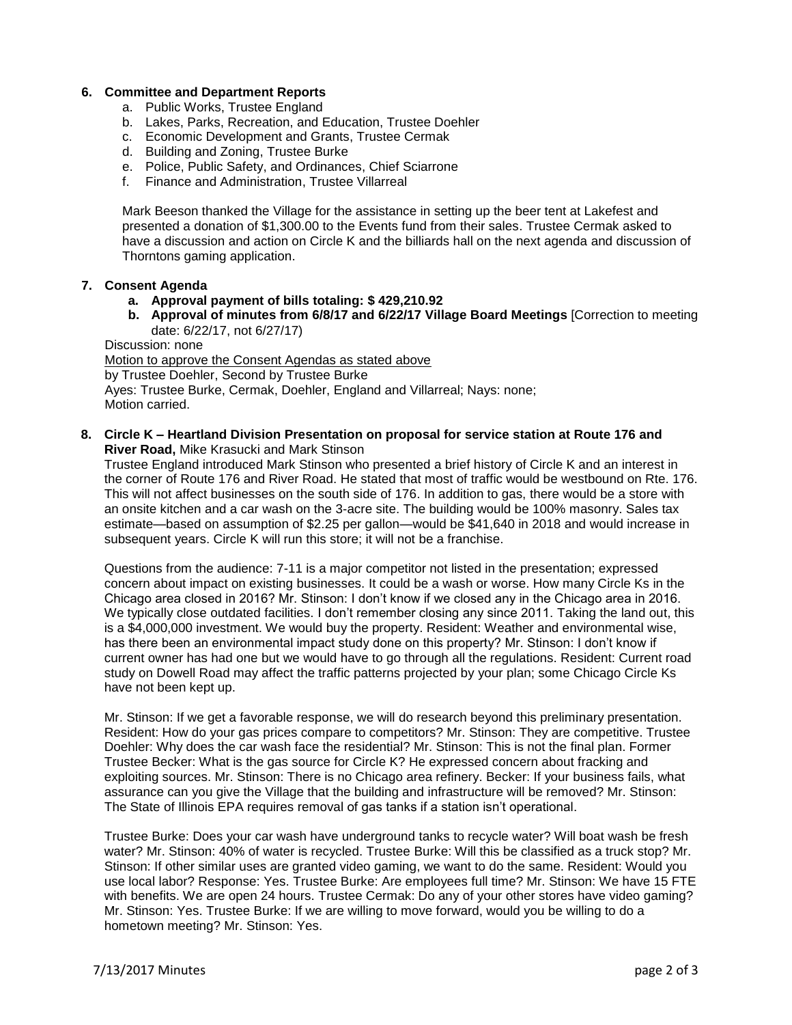#### **6. Committee and Department Reports**

- a. Public Works, Trustee England
- b. Lakes, Parks, Recreation, and Education, Trustee Doehler
- c. Economic Development and Grants, Trustee Cermak
- d. Building and Zoning, Trustee Burke
- e. Police, Public Safety, and Ordinances, Chief Sciarrone
- f. Finance and Administration, Trustee Villarreal

Mark Beeson thanked the Village for the assistance in setting up the beer tent at Lakefest and presented a donation of \$1,300.00 to the Events fund from their sales. Trustee Cermak asked to have a discussion and action on Circle K and the billiards hall on the next agenda and discussion of Thorntons gaming application.

#### **7. Consent Agenda**

- **a. Approval payment of bills totaling: \$ 429,210.92**
- **b. Approval of minutes from 6/8/17 and 6/22/17 Village Board Meetings** [Correction to meeting date: 6/22/17, not 6/27/17)

Discussion: none Motion to approve the Consent Agendas as stated above by Trustee Doehler, Second by Trustee Burke Ayes: Trustee Burke, Cermak, Doehler, England and Villarreal; Nays: none; Motion carried.

**8. Circle K – Heartland Division Presentation on proposal for service station at Route 176 and River Road,** Mike Krasucki and Mark Stinson

Trustee England introduced Mark Stinson who presented a brief history of Circle K and an interest in the corner of Route 176 and River Road. He stated that most of traffic would be westbound on Rte. 176. This will not affect businesses on the south side of 176. In addition to gas, there would be a store with an onsite kitchen and a car wash on the 3-acre site. The building would be 100% masonry. Sales tax estimate—based on assumption of \$2.25 per gallon—would be \$41,640 in 2018 and would increase in subsequent years. Circle K will run this store; it will not be a franchise.

Questions from the audience: 7-11 is a major competitor not listed in the presentation; expressed concern about impact on existing businesses. It could be a wash or worse. How many Circle Ks in the Chicago area closed in 2016? Mr. Stinson: I don't know if we closed any in the Chicago area in 2016. We typically close outdated facilities. I don't remember closing any since 2011. Taking the land out, this is a \$4,000,000 investment. We would buy the property. Resident: Weather and environmental wise, has there been an environmental impact study done on this property? Mr. Stinson: I don't know if current owner has had one but we would have to go through all the regulations. Resident: Current road study on Dowell Road may affect the traffic patterns projected by your plan; some Chicago Circle Ks have not been kept up.

Mr. Stinson: If we get a favorable response, we will do research beyond this preliminary presentation. Resident: How do your gas prices compare to competitors? Mr. Stinson: They are competitive. Trustee Doehler: Why does the car wash face the residential? Mr. Stinson: This is not the final plan. Former Trustee Becker: What is the gas source for Circle K? He expressed concern about fracking and exploiting sources. Mr. Stinson: There is no Chicago area refinery. Becker: If your business fails, what assurance can you give the Village that the building and infrastructure will be removed? Mr. Stinson: The State of Illinois EPA requires removal of gas tanks if a station isn't operational.

Trustee Burke: Does your car wash have underground tanks to recycle water? Will boat wash be fresh water? Mr. Stinson: 40% of water is recycled. Trustee Burke: Will this be classified as a truck stop? Mr. Stinson: If other similar uses are granted video gaming, we want to do the same. Resident: Would you use local labor? Response: Yes. Trustee Burke: Are employees full time? Mr. Stinson: We have 15 FTE with benefits. We are open 24 hours. Trustee Cermak: Do any of your other stores have video gaming? Mr. Stinson: Yes. Trustee Burke: If we are willing to move forward, would you be willing to do a hometown meeting? Mr. Stinson: Yes.